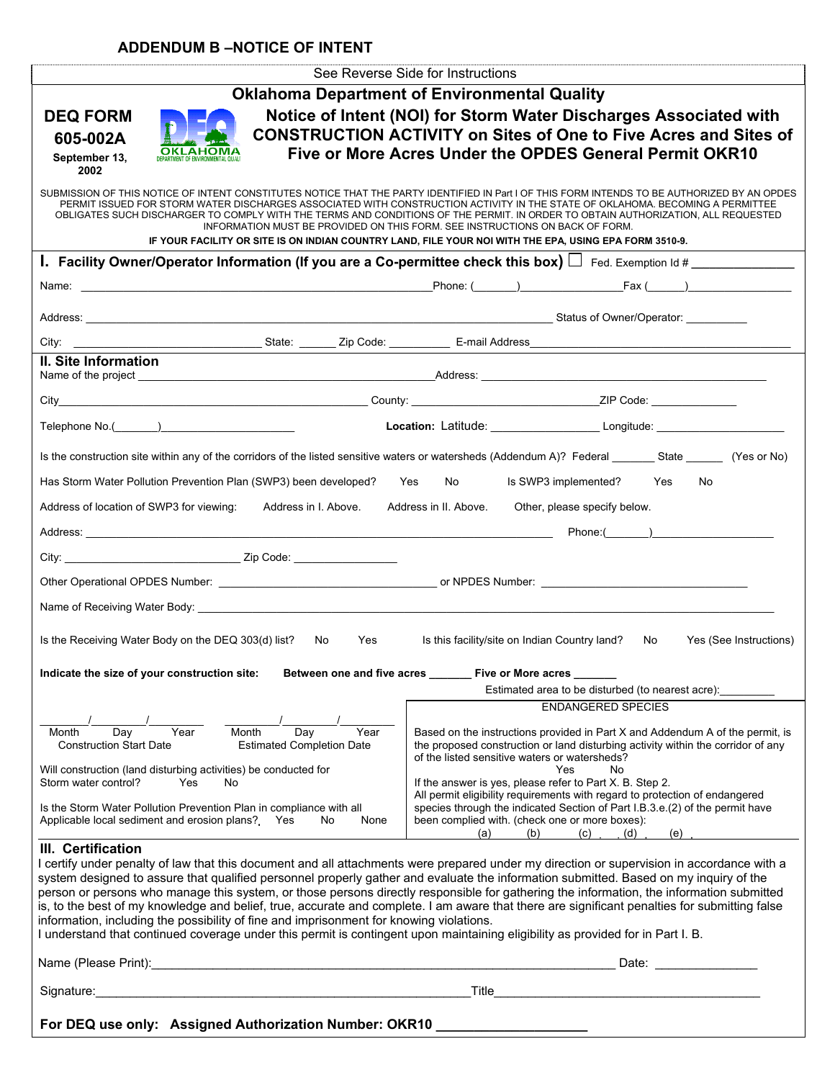# **ADDENDUM B –NOTICE OF INTENT**

| <b>Oklahoma Department of Environmental Quality</b><br><b>DEQ FORM</b>                                                                                                                                                                                                                                                                                                                                                                                                                                                                                                                                                                                                                                                                                                                                                               |  |
|--------------------------------------------------------------------------------------------------------------------------------------------------------------------------------------------------------------------------------------------------------------------------------------------------------------------------------------------------------------------------------------------------------------------------------------------------------------------------------------------------------------------------------------------------------------------------------------------------------------------------------------------------------------------------------------------------------------------------------------------------------------------------------------------------------------------------------------|--|
|                                                                                                                                                                                                                                                                                                                                                                                                                                                                                                                                                                                                                                                                                                                                                                                                                                      |  |
| Notice of Intent (NOI) for Storm Water Discharges Associated with<br><b>CONSTRUCTION ACTIVITY on Sites of One to Five Acres and Sites of</b><br>605-002A<br>Five or More Acres Under the OPDES General Permit OKR10                                                                                                                                                                                                                                                                                                                                                                                                                                                                                                                                                                                                                  |  |
| September 13,<br>2002                                                                                                                                                                                                                                                                                                                                                                                                                                                                                                                                                                                                                                                                                                                                                                                                                |  |
| SUBMISSION OF THIS NOTICE OF INTENT CONSTITUTES NOTICE THAT THE PARTY IDENTIFIED IN Part I OF THIS FORM INTENDS TO BE AUTHORIZED BY AN OPDES<br>PERMIT ISSUED FOR STORM WATER DISCHARGES ASSOCIATED WITH CONSTRUCTION ACTIVITY IN THE STATE OF OKLAHOMA. BECOMING A PERMITTEE<br>OBLIGATES SUCH DISCHARGER TO COMPLY WITH THE TERMS AND CONDITIONS OF THE PERMIT. IN ORDER TO OBTAIN AUTHORIZATION. ALL REQUESTED<br>INFORMATION MUST BE PROVIDED ON THIS FORM. SEE INSTRUCTIONS ON BACK OF FORM.<br>IF YOUR FACILITY OR SITE IS ON INDIAN COUNTRY LAND, FILE YOUR NOI WITH THE EPA, USING EPA FORM 3510-9.                                                                                                                                                                                                                          |  |
| 1. Facility Owner/Operator Information (If you are a Co-permittee check this box) $\Box$ Fed. Exemption Id #                                                                                                                                                                                                                                                                                                                                                                                                                                                                                                                                                                                                                                                                                                                         |  |
|                                                                                                                                                                                                                                                                                                                                                                                                                                                                                                                                                                                                                                                                                                                                                                                                                                      |  |
|                                                                                                                                                                                                                                                                                                                                                                                                                                                                                                                                                                                                                                                                                                                                                                                                                                      |  |
|                                                                                                                                                                                                                                                                                                                                                                                                                                                                                                                                                                                                                                                                                                                                                                                                                                      |  |
| II. Site Information                                                                                                                                                                                                                                                                                                                                                                                                                                                                                                                                                                                                                                                                                                                                                                                                                 |  |
|                                                                                                                                                                                                                                                                                                                                                                                                                                                                                                                                                                                                                                                                                                                                                                                                                                      |  |
| Location: Latitude: __________________________Longitude: _______________________                                                                                                                                                                                                                                                                                                                                                                                                                                                                                                                                                                                                                                                                                                                                                     |  |
| Is the construction site within any of the corridors of the listed sensitive waters or watersheds (Addendum A)? Federal _________ State ________ (Yes or No)                                                                                                                                                                                                                                                                                                                                                                                                                                                                                                                                                                                                                                                                         |  |
| Has Storm Water Pollution Prevention Plan (SWP3) been developed? Yes<br>No control of the North State of the North State of the North State of the North State of the North State of the North State of the North State of the North State of the North State of the North State of the North State of<br>Is SWP3 implemented? Yes<br>No                                                                                                                                                                                                                                                                                                                                                                                                                                                                                             |  |
| Address of location of SWP3 for viewing:<br>Address in I. Above.<br>Address in II. Above.<br>Other, please specify below.                                                                                                                                                                                                                                                                                                                                                                                                                                                                                                                                                                                                                                                                                                            |  |
| Phone: ()                                                                                                                                                                                                                                                                                                                                                                                                                                                                                                                                                                                                                                                                                                                                                                                                                            |  |
|                                                                                                                                                                                                                                                                                                                                                                                                                                                                                                                                                                                                                                                                                                                                                                                                                                      |  |
|                                                                                                                                                                                                                                                                                                                                                                                                                                                                                                                                                                                                                                                                                                                                                                                                                                      |  |
| Name of Receiving Water Body: Name of Receiving Water Body:                                                                                                                                                                                                                                                                                                                                                                                                                                                                                                                                                                                                                                                                                                                                                                          |  |
| Is the Receiving Water Body on the DEQ 303(d) list?<br>No.<br>Yes<br>Is this facility/site on Indian Country land?<br>No<br>Yes (See Instructions)                                                                                                                                                                                                                                                                                                                                                                                                                                                                                                                                                                                                                                                                                   |  |
| Indicate the size of your construction site: Between one and five acres _______ Five or More acres                                                                                                                                                                                                                                                                                                                                                                                                                                                                                                                                                                                                                                                                                                                                   |  |
| Estimated area to be disturbed (to nearest acre):                                                                                                                                                                                                                                                                                                                                                                                                                                                                                                                                                                                                                                                                                                                                                                                    |  |
| <b>ENDANGERED SPECIES</b>                                                                                                                                                                                                                                                                                                                                                                                                                                                                                                                                                                                                                                                                                                                                                                                                            |  |
| Year<br>Based on the instructions provided in Part X and Addendum A of the permit, is<br>Month<br>Day<br>Year<br>Month<br>Day<br><b>Construction Start Date</b><br><b>Estimated Completion Date</b><br>the proposed construction or land disturbing activity within the corridor of any<br>of the listed sensitive waters or watersheds?                                                                                                                                                                                                                                                                                                                                                                                                                                                                                             |  |
| Will construction (land disturbing activities) be conducted for<br>Yes<br>No.<br>Storm water control?<br>If the answer is yes, please refer to Part X. B. Step 2.<br>Yes<br>No.<br>All permit eligibility requirements with regard to protection of endangered                                                                                                                                                                                                                                                                                                                                                                                                                                                                                                                                                                       |  |
| Is the Storm Water Pollution Prevention Plan in compliance with all<br>species through the indicated Section of Part I.B.3.e.(2) of the permit have<br>Applicable local sediment and erosion plans? Yes<br>been complied with. (check one or more boxes):<br>No<br>None<br>(b)<br>(a)<br>(C)<br>(d)<br>(e)                                                                                                                                                                                                                                                                                                                                                                                                                                                                                                                           |  |
| III. Certification<br>I certify under penalty of law that this document and all attachments were prepared under my direction or supervision in accordance with a<br>system designed to assure that qualified personnel properly gather and evaluate the information submitted. Based on my inquiry of the<br>person or persons who manage this system, or those persons directly responsible for gathering the information, the information submitted<br>is, to the best of my knowledge and belief, true, accurate and complete. I am aware that there are significant penalties for submitting false<br>information, including the possibility of fine and imprisonment for knowing violations.<br>I understand that continued coverage under this permit is contingent upon maintaining eligibility as provided for in Part I. B. |  |
| Name (Please Print): <u>contract and contract and contract and contract and contract and contract and contract and contract and contract and contract and contract and contract and contract and contract and contract and contr</u><br>Date:                                                                                                                                                                                                                                                                                                                                                                                                                                                                                                                                                                                        |  |
| <u> 1980 - Johann Barbara, martxa alemaniar a</u><br>Signature:<br>Title                                                                                                                                                                                                                                                                                                                                                                                                                                                                                                                                                                                                                                                                                                                                                             |  |
| For DEQ use only: Assigned Authorization Number: OKR10                                                                                                                                                                                                                                                                                                                                                                                                                                                                                                                                                                                                                                                                                                                                                                               |  |